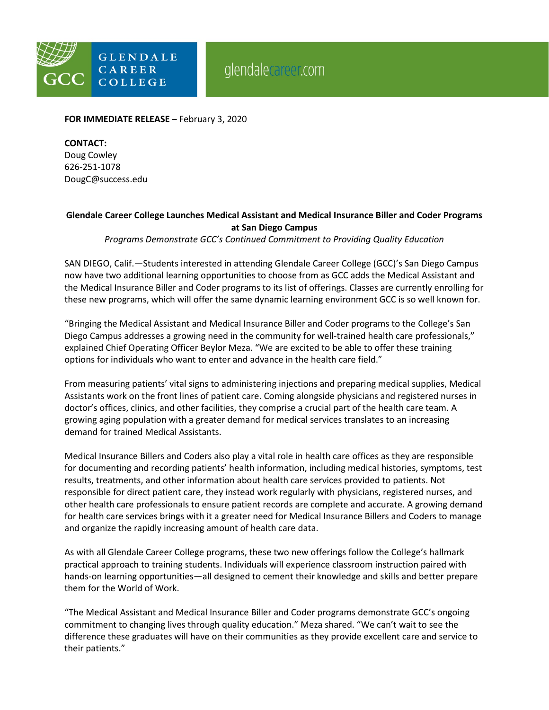

## **FOR IMMEDIATE RELEASE** – February 3, 2020

## **CONTACT:**

Doug Cowley 626-251-1078 DougC@success.edu

## **Glendale Career College Launches Medical Assistant and Medical Insurance Biller and Coder Programs at San Diego Campus**

*Programs Demonstrate GCC's Continued Commitment to Providing Quality Education*

SAN DIEGO, Calif.—Students interested in attending Glendale Career College (GCC)'s San Diego Campus now have two additional learning opportunities to choose from as GCC adds the Medical Assistant and the Medical Insurance Biller and Coder programs to its list of offerings. Classes are currently enrolling for these new programs, which will offer the same dynamic learning environment GCC is so well known for.

"Bringing the Medical Assistant and Medical Insurance Biller and Coder programs to the College's San Diego Campus addresses a growing need in the community for well-trained health care professionals," explained Chief Operating Officer Beylor Meza. "We are excited to be able to offer these training options for individuals who want to enter and advance in the health care field."

From measuring patients' vital signs to administering injections and preparing medical supplies, Medical Assistants work on the front lines of patient care. Coming alongside physicians and registered nurses in doctor's offices, clinics, and other facilities, they comprise a crucial part of the health care team. A growing aging population with a greater demand for medical services translates to an increasing demand for trained Medical Assistants.

Medical Insurance Billers and Coders also play a vital role in health care offices as they are responsible for documenting and recording patients' health information, including medical histories, symptoms, test results, treatments, and other information about health care services provided to patients. Not responsible for direct patient care, they instead work regularly with physicians, registered nurses, and other health care professionals to ensure patient records are complete and accurate. A growing demand for health care services brings with it a greater need for Medical Insurance Billers and Coders to manage and organize the rapidly increasing amount of health care data.

As with all Glendale Career College programs, these two new offerings follow the College's hallmark practical approach to training students. Individuals will experience classroom instruction paired with hands-on learning opportunities—all designed to cement their knowledge and skills and better prepare them for the World of Work.

"The Medical Assistant and Medical Insurance Biller and Coder programs demonstrate GCC's ongoing commitment to changing lives through quality education." Meza shared. "We can't wait to see the difference these graduates will have on their communities as they provide excellent care and service to their patients."